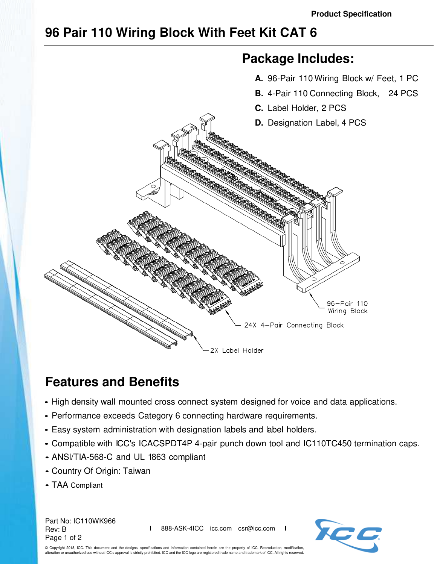## **96 Pair 110 Wiring Block With Feet Kit CAT 6**



## **Features and Benefits**

- High density wall mounted cross connect system designed for voice and data applications.
- Performance exceeds Category 6 connecting hardware requirements.
- Easy system administration with designation labels and label holders.
- Compatible with ICC's ICACSPDT4P 4-pair punch down tool and IC110TC450 termination caps.
- ANSl/TIA-568-C and UL 1863 compliant
- Country Of Origin: Taiwan
- TAA Compliant

Part No: IC110WK966 Rev: B Page 1 of 2

**I** 888-ASK-4ICC icc.com csr@icc.com **I**



© Copyright 2018, ICC. This document and the designs, specifications and information contained herein are the property of ICC. Reproduction, modification, alteration or unauthorized use without ICC's approval is strictly prohibited. ICC and the ICC logo are registered trade name and trademark of ICC. All rights reserved.